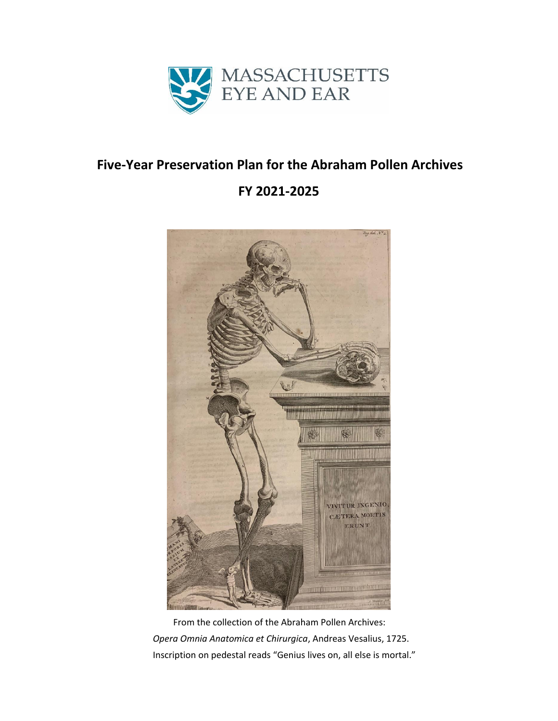

### **Five-Year Preservation Plan for the Abraham Pollen Archives**

# **FY 2021-2025**



 From the collection of the Abraham Pollen Archives: *Opera Omnia Anatomica et Chirurgica*, Andreas Vesalius, 1725. Inscription on pedestal reads "Genius lives on, all else is mortal."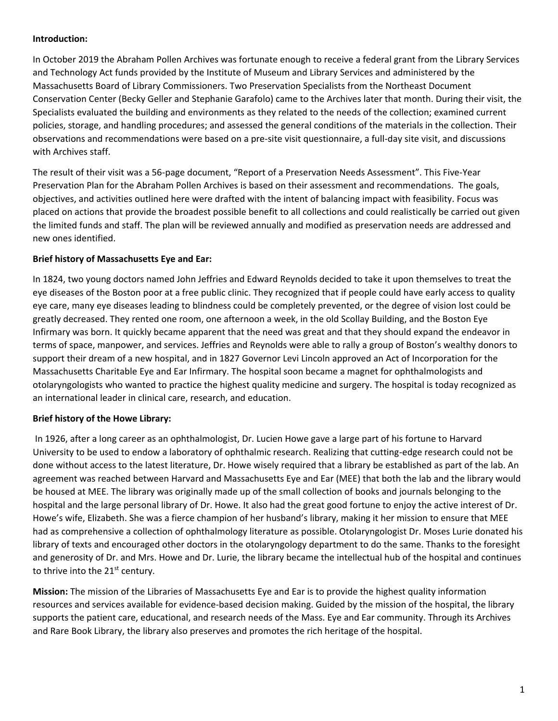#### **Introduction:**

In October 2019 the Abraham Pollen Archives was fortunate enough to receive a federal grant from the Library Services and Technology Act funds provided by the Institute of Museum and Library Services and administered by the Massachusetts Board of Library Commissioners. Two Preservation Specialists from the Northeast Document Conservation Center (Becky Geller and Stephanie Garafolo) came to the Archives later that month. During their visit, the Specialists evaluated the building and environments as they related to the needs of the collection; examined current policies, storage, and handling procedures; and assessed the general conditions of the materials in the collection. Their observations and recommendations were based on a pre-site visit questionnaire, a full-day site visit, and discussions with Archives staff.

The result of their visit was a 56-page document, "Report of a Preservation Needs Assessment". This Five-Year Preservation Plan for the Abraham Pollen Archives is based on their assessment and recommendations. The goals, objectives, and activities outlined here were drafted with the intent of balancing impact with feasibility. Focus was placed on actions that provide the broadest possible benefit to all collections and could realistically be carried out given the limited funds and staff. The plan will be reviewed annually and modified as preservation needs are addressed and new ones identified.

#### **Brief history of Massachusetts Eye and Ear:**

In 1824, two young doctors named John Jeffries and Edward Reynolds decided to take it upon themselves to treat the eye diseases of the Boston poor at a free public clinic. They recognized that if people could have early access to quality eye care, many eye diseases leading to blindness could be completely prevented, or the degree of vision lost could be greatly decreased. They rented one room, one afternoon a week, in the old Scollay Building, and the Boston Eye Infirmary was born. It quickly became apparent that the need was great and that they should expand the endeavor in terms of space, manpower, and services. Jeffries and Reynolds were able to rally a group of Boston's wealthy donors to support their dream of a new hospital, and in 1827 Governor Levi Lincoln approved an Act of Incorporation for the Massachusetts Charitable Eye and Ear Infirmary. The hospital soon became a magnet for ophthalmologists and otolaryngologists who wanted to practice the highest quality medicine and surgery. The hospital is today recognized as an international leader in clinical care, research, and education.

#### **Brief history of the Howe Library:**

In 1926, after a long career as an ophthalmologist, Dr. Lucien Howe gave a large part of his fortune to Harvard University to be used to endow a laboratory of ophthalmic research. Realizing that cutting-edge research could not be done without access to the latest literature, Dr. Howe wisely required that a library be established as part of the lab. An agreement was reached between Harvard and Massachusetts Eye and Ear (MEE) that both the lab and the library would be housed at MEE. The library was originally made up of the small collection of books and journals belonging to the hospital and the large personal library of Dr. Howe. It also had the great good fortune to enjoy the active interest of Dr. Howe's wife, Elizabeth. She was a fierce champion of her husband's library, making it her mission to ensure that MEE had as comprehensive a collection of ophthalmology literature as possible. Otolaryngologist Dr. Moses Lurie donated his library of texts and encouraged other doctors in the otolaryngology department to do the same. Thanks to the foresight and generosity of Dr. and Mrs. Howe and Dr. Lurie, the library became the intellectual hub of the hospital and continues to thrive into the  $21<sup>st</sup>$  century.

**Mission:** The mission of the Libraries of Massachusetts Eye and Ear is to provide the highest quality information resources and services available for evidence-based decision making. Guided by the mission of the hospital, the library supports the patient care, educational, and research needs of the Mass. Eye and Ear community. Through its Archives and Rare Book Library, the library also preserves and promotes the rich heritage of the hospital.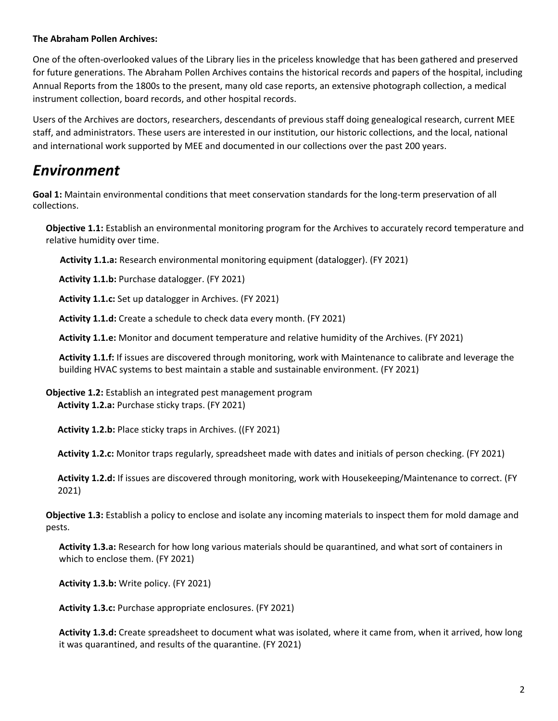#### **The Abraham Pollen Archives:**

One of the often-overlooked values of the Library lies in the priceless knowledge that has been gathered and preserved for future generations. The Abraham Pollen Archives contains the historical records and papers of the hospital, including Annual Reports from the 1800s to the present, many old case reports, an extensive photograph collection, a medical instrument collection, board records, and other hospital records.

Users of the Archives are doctors, researchers, descendants of previous staff doing genealogical research, current MEE staff, and administrators. These users are interested in our institution, our historic collections, and the local, national and international work supported by MEE and documented in our collections over the past 200 years.

# *Environment*

**Goal 1:** Maintain environmental conditions that meet conservation standards for the long-term preservation of all collections.

**Objective 1.1:** Establish an environmental monitoring program for the Archives to accurately record temperature and relative humidity over time.

 **Activity 1.1.a:** Research environmental monitoring equipment (datalogger). (FY 2021)

**Activity 1.1.b:** Purchase datalogger. (FY 2021)

**Activity 1.1.c:** Set up datalogger in Archives. (FY 2021)

**Activity 1.1.d:** Create a schedule to check data every month. (FY 2021)

**Activity 1.1.e:** Monitor and document temperature and relative humidity of the Archives. (FY 2021)

**Activity 1.1.f:** If issues are discovered through monitoring, work with Maintenance to calibrate and leverage the building HVAC systems to best maintain a stable and sustainable environment. (FY 2021)

**Objective 1.2:** Establish an integrated pest management program **Activity 1.2.a:** Purchase sticky traps. (FY 2021)

**Activity 1.2.b:** Place sticky traps in Archives. ((FY 2021)

**Activity 1.2.c:** Monitor traps regularly, spreadsheet made with dates and initials of person checking. (FY 2021)

 **Activity 1.2.d:** If issues are discovered through monitoring, work with Housekeeping/Maintenance to correct. (FY 2021)

**Objective 1.3:** Establish a policy to enclose and isolate any incoming materials to inspect them for mold damage and pests.

**Activity 1.3.a:** Research for how long various materials should be quarantined, and what sort of containers in which to enclose them. (FY 2021)

**Activity 1.3.b:** Write policy. (FY 2021)

**Activity 1.3.c:** Purchase appropriate enclosures. (FY 2021)

**Activity 1.3.d:** Create spreadsheet to document what was isolated, where it came from, when it arrived, how long it was quarantined, and results of the quarantine. (FY 2021)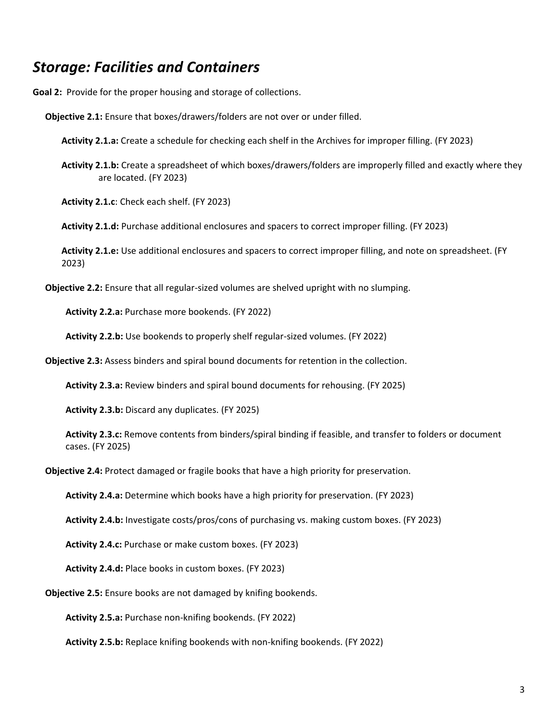### *Storage: Facilities and Containers*

**Goal 2:** Provide for the proper housing and storage of collections.

- **Objective 2.1:** Ensure that boxes/drawers/folders are not over or under filled.
	- **Activity 2.1.a:** Create a schedule for checking each shelf in the Archives for improper filling. (FY 2023)
	- **Activity 2.1.b:** Create a spreadsheet of which boxes/drawers/folders are improperly filled and exactly where they are located. (FY 2023)

**Activity 2.1.c**: Check each shelf. (FY 2023)

**Activity 2.1.d:** Purchase additional enclosures and spacers to correct improper filling. (FY 2023)

**Activity 2.1.e:** Use additional enclosures and spacers to correct improper filling, and note on spreadsheet. (FY 2023)

**Objective 2.2:** Ensure that all regular-sized volumes are shelved upright with no slumping.

**Activity 2.2.a:** Purchase more bookends. (FY 2022)

 **Activity 2.2.b:** Use bookends to properly shelf regular-sized volumes. (FY 2022)

**Objective 2.3:** Assess binders and spiral bound documents for retention in the collection.

**Activity 2.3.a:** Review binders and spiral bound documents for rehousing. (FY 2025)

**Activity 2.3.b:** Discard any duplicates. (FY 2025)

**Activity 2.3.c:** Remove contents from binders/spiral binding if feasible, and transfer to folders or document cases. (FY 2025)

**Objective 2.4:** Protect damaged or fragile books that have a high priority for preservation.

**Activity 2.4.a:** Determine which books have a high priority for preservation. (FY 2023)

**Activity 2.4.b:** Investigate costs/pros/cons of purchasing vs. making custom boxes. (FY 2023)

**Activity 2.4.c:** Purchase or make custom boxes. (FY 2023)

**Activity 2.4.d:** Place books in custom boxes. (FY 2023)

**Objective 2.5:** Ensure books are not damaged by knifing bookends.

**Activity 2.5.a:** Purchase non-knifing bookends. (FY 2022)

**Activity 2.5.b:** Replace knifing bookends with non-knifing bookends. (FY 2022)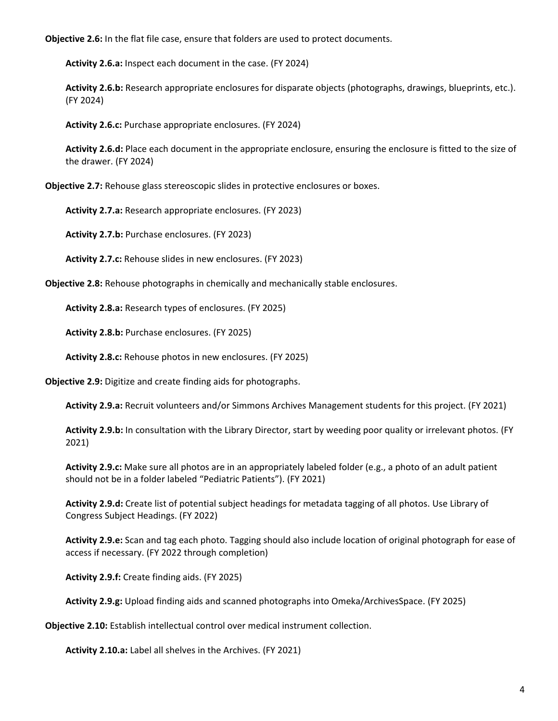**Objective 2.6:** In the flat file case, ensure that folders are used to protect documents.

**Activity 2.6.a:** Inspect each document in the case. (FY 2024)

**Activity 2.6.b:** Research appropriate enclosures for disparate objects (photographs, drawings, blueprints, etc.). (FY 2024)

**Activity 2.6.c:** Purchase appropriate enclosures. (FY 2024)

**Activity 2.6.d:** Place each document in the appropriate enclosure, ensuring the enclosure is fitted to the size of the drawer. (FY 2024)

**Objective 2.7:** Rehouse glass stereoscopic slides in protective enclosures or boxes.

**Activity 2.7.a:** Research appropriate enclosures. (FY 2023)

**Activity 2.7.b:** Purchase enclosures. (FY 2023)

**Activity 2.7.c:** Rehouse slides in new enclosures. (FY 2023)

**Objective 2.8:** Rehouse photographs in chemically and mechanically stable enclosures.

**Activity 2.8.a:** Research types of enclosures. (FY 2025)

**Activity 2.8.b:** Purchase enclosures. (FY 2025)

**Activity 2.8.c:** Rehouse photos in new enclosures. (FY 2025)

**Objective 2.9:** Digitize and create finding aids for photographs.

**Activity 2.9.a:** Recruit volunteers and/or Simmons Archives Management students for this project. (FY 2021)

**Activity 2.9.b:** In consultation with the Library Director, start by weeding poor quality or irrelevant photos. (FY 2021)

**Activity 2.9.c:** Make sure all photos are in an appropriately labeled folder (e.g., a photo of an adult patient should not be in a folder labeled "Pediatric Patients"). (FY 2021)

**Activity 2.9.d:** Create list of potential subject headings for metadata tagging of all photos. Use Library of Congress Subject Headings. (FY 2022)

**Activity 2.9.e:** Scan and tag each photo. Tagging should also include location of original photograph for ease of access if necessary. (FY 2022 through completion)

**Activity 2.9.f:** Create finding aids. (FY 2025)

**Activity 2.9.g:** Upload finding aids and scanned photographs into Omeka/ArchivesSpace. (FY 2025)

**Objective 2.10:** Establish intellectual control over medical instrument collection.

**Activity 2.10.a:** Label all shelves in the Archives. (FY 2021)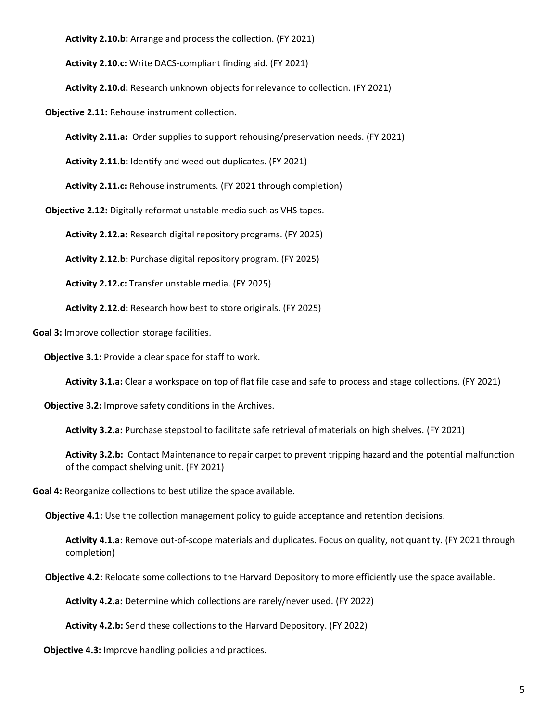**Activity 2.10.b:** Arrange and process the collection. (FY 2021)

**Activity 2.10.c:** Write DACS-compliant finding aid. (FY 2021)

**Activity 2.10.d:** Research unknown objects for relevance to collection. (FY 2021)

**Objective 2.11:** Rehouse instrument collection.

**Activity 2.11.a:** Order supplies to support rehousing/preservation needs. (FY 2021)

**Activity 2.11.b:** Identify and weed out duplicates. (FY 2021)

**Activity 2.11.c:** Rehouse instruments. (FY 2021 through completion)

**Objective 2.12:** Digitally reformat unstable media such as VHS tapes.

**Activity 2.12.a:** Research digital repository programs. (FY 2025)

**Activity 2.12.b:** Purchase digital repository program. (FY 2025)

**Activity 2.12.c:** Transfer unstable media. (FY 2025)

**Activity 2.12.d:** Research how best to store originals. (FY 2025)

**Goal 3:** Improve collection storage facilities.

 **Objective 3.1:** Provide a clear space for staff to work.

**Activity 3.1.a:** Clear a workspace on top of flat file case and safe to process and stage collections. (FY 2021)

 **Objective 3.2:** Improve safety conditions in the Archives.

**Activity 3.2.a:** Purchase stepstool to facilitate safe retrieval of materials on high shelves. (FY 2021)

**Activity 3.2.b:** Contact Maintenance to repair carpet to prevent tripping hazard and the potential malfunction of the compact shelving unit. (FY 2021)

**Goal 4:** Reorganize collections to best utilize the space available.

**Objective 4.1:** Use the collection management policy to guide acceptance and retention decisions.

**Activity 4.1.a**: Remove out-of-scope materials and duplicates. Focus on quality, not quantity. (FY 2021 through completion)

 **Objective 4.2:** Relocate some collections to the Harvard Depository to more efficiently use the space available.

**Activity 4.2.a:** Determine which collections are rarely/never used. (FY 2022)

 **Activity 4.2.b:** Send these collections to the Harvard Depository. (FY 2022)

 **Objective 4.3:** Improve handling policies and practices.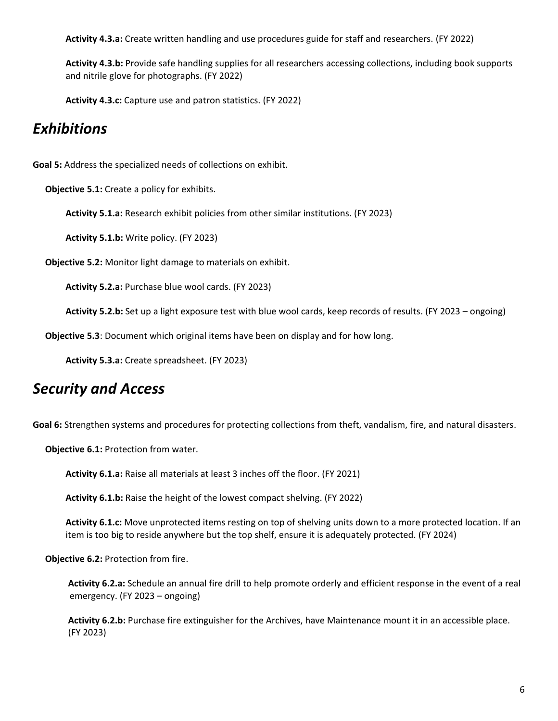**Activity 4.3.a:** Create written handling and use procedures guide for staff and researchers. (FY 2022)

 **Activity 4.3.b:** Provide safe handling supplies for all researchers accessing collections, including book supports and nitrile glove for photographs. (FY 2022)

 **Activity 4.3.c:** Capture use and patron statistics. (FY 2022)

# *Exhibitions*

**Goal 5:** Address the specialized needs of collections on exhibit.

**Objective 5.1:** Create a policy for exhibits.

**Activity 5.1.a:** Research exhibit policies from other similar institutions. (FY 2023)

**Activity 5.1.b:** Write policy. (FY 2023)

**Objective 5.2:** Monitor light damage to materials on exhibit.

**Activity 5.2.a:** Purchase blue wool cards. (FY 2023)

**Activity 5.2.b:** Set up a light exposure test with blue wool cards, keep records of results. (FY 2023 – ongoing)

**Objective 5.3**: Document which original items have been on display and for how long.

 **Activity 5.3.a:** Create spreadsheet. (FY 2023)

# *Security and Access*

Goal 6: Strengthen systems and procedures for protecting collections from theft, vandalism, fire, and natural disasters.

**Objective 6.1:** Protection from water.

**Activity 6.1.a:** Raise all materials at least 3 inches off the floor. (FY 2021)

**Activity 6.1.b:** Raise the height of the lowest compact shelving. (FY 2022)

 **Activity 6.1.c:** Move unprotected items resting on top of shelving units down to a more protected location. If an item is too big to reside anywhere but the top shelf, ensure it is adequately protected. (FY 2024)

 **Objective 6.2:** Protection from fire.

 **Activity 6.2.a:** Schedule an annual fire drill to help promote orderly and efficient response in the event of a real emergency. (FY 2023 – ongoing)

 **Activity 6.2.b:** Purchase fire extinguisher for the Archives, have Maintenance mount it in an accessible place. (FY 2023)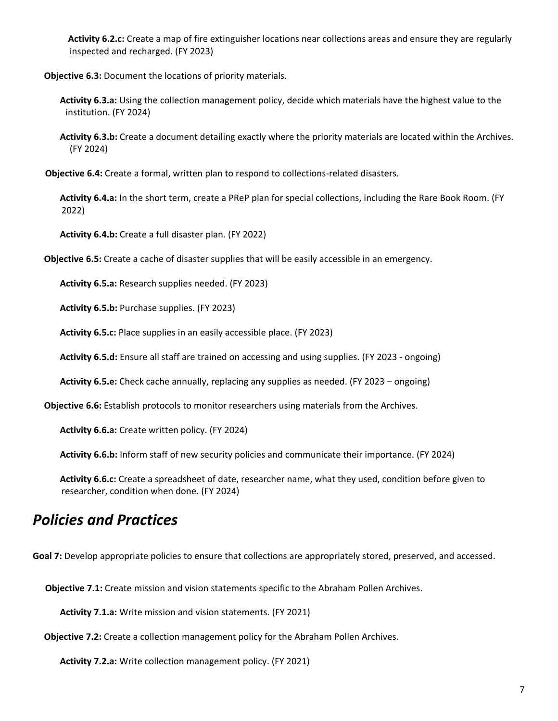**Activity 6.2.c:** Create a map of fire extinguisher locations near collections areas and ensure they are regularly inspected and recharged. (FY 2023)

 **Objective 6.3:** Document the locations of priority materials.

- **Activity 6.3.a:** Using the collection management policy, decide which materials have the highest value to the institution. (FY 2024)
- **Activity 6.3.b:** Create a document detailing exactly where the priority materials are located within the Archives. (FY 2024)

**Objective 6.4:** Create a formal, written plan to respond to collections-related disasters.

 **Activity 6.4.a:** In the short term, create a PReP plan for special collections, including the Rare Book Room. (FY 2022)

 **Activity 6.4.b:** Create a full disaster plan. (FY 2022)

 **Objective 6.5:** Create a cache of disaster supplies that will be easily accessible in an emergency.

 **Activity 6.5.a:** Research supplies needed. (FY 2023)

 **Activity 6.5.b:** Purchase supplies. (FY 2023)

 **Activity 6.5.c:** Place supplies in an easily accessible place. (FY 2023)

 **Activity 6.5.d:** Ensure all staff are trained on accessing and using supplies. (FY 2023 - ongoing)

 **Activity 6.5.e:** Check cache annually, replacing any supplies as needed. (FY 2023 – ongoing)

 **Objective 6.6:** Establish protocols to monitor researchers using materials from the Archives.

 **Activity 6.6.a:** Create written policy. (FY 2024)

 **Activity 6.6.b:** Inform staff of new security policies and communicate their importance. (FY 2024)

 **Activity 6.6.c:** Create a spreadsheet of date, researcher name, what they used, condition before given to researcher, condition when done. (FY 2024)

### *Policies and Practices*

**Goal 7:** Develop appropriate policies to ensure that collections are appropriately stored, preserved, and accessed.

**Objective 7.1:** Create mission and vision statements specific to the Abraham Pollen Archives.

**Activity 7.1.a:** Write mission and vision statements. (FY 2021)

 **Objective 7.2:** Create a collection management policy for the Abraham Pollen Archives.

 **Activity 7.2.a:** Write collection management policy. (FY 2021)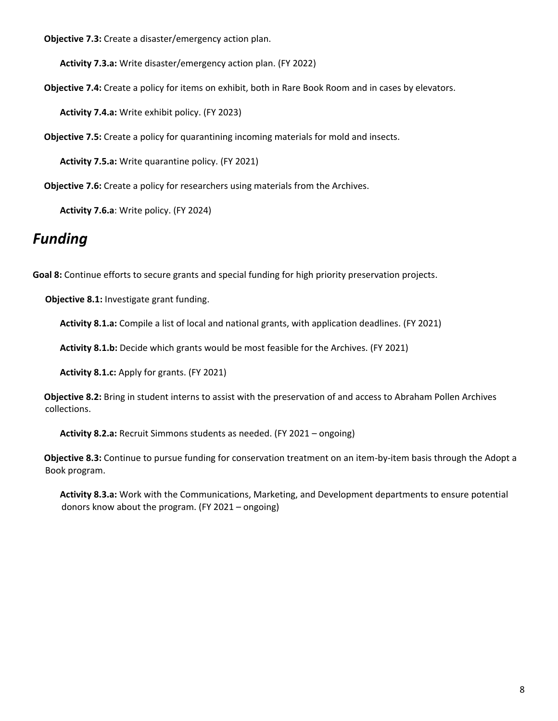**Objective 7.3:** Create a disaster/emergency action plan.

**Activity 7.3.a:** Write disaster/emergency action plan. (FY 2022)

**Objective 7.4:** Create a policy for items on exhibit, both in Rare Book Room and in cases by elevators.

**Activity 7.4.a:** Write exhibit policy. (FY 2023)

**Objective 7.5:** Create a policy for quarantining incoming materials for mold and insects.

**Activity 7.5.a:** Write quarantine policy. (FY 2021)

**Objective 7.6:** Create a policy for researchers using materials from the Archives.

**Activity 7.6.a**: Write policy. (FY 2024)

# *Funding*

**Goal 8:** Continue efforts to secure grants and special funding for high priority preservation projects.

**Objective 8.1:** Investigate grant funding.

 **Activity 8.1.a:** Compile a list of local and national grants, with application deadlines. (FY 2021)

**Activity 8.1.b:** Decide which grants would be most feasible for the Archives. (FY 2021)

**Activity 8.1.c:** Apply for grants. (FY 2021)

 **Objective 8.2:** Bring in student interns to assist with the preservation of and access to Abraham Pollen Archives collections.

**Activity 8.2.a:** Recruit Simmons students as needed. (FY 2021 – ongoing)

 **Objective 8.3:** Continue to pursue funding for conservation treatment on an item-by-item basis through the Adopt a Book program.

 **Activity 8.3.a:** Work with the Communications, Marketing, and Development departments to ensure potential donors know about the program. (FY 2021 – ongoing)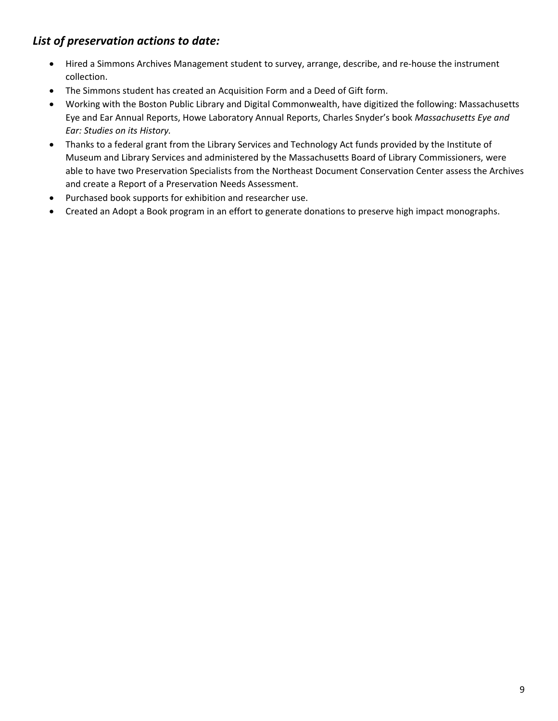### *List of preservation actions to date:*

- Hired a Simmons Archives Management student to survey, arrange, describe, and re-house the instrument collection.
- The Simmons student has created an Acquisition Form and a Deed of Gift form.
- Working with the Boston Public Library and Digital Commonwealth, have digitized the following: Massachusetts Eye and Ear Annual Reports, Howe Laboratory Annual Reports, Charles Snyder's book *Massachusetts Eye and Ear: Studies on its History.*
- Thanks to a federal grant from the Library Services and Technology Act funds provided by the Institute of Museum and Library Services and administered by the Massachusetts Board of Library Commissioners, were able to have two Preservation Specialists from the Northeast Document Conservation Center assess the Archives and create a Report of a Preservation Needs Assessment.
- Purchased book supports for exhibition and researcher use.
- Created an Adopt a Book program in an effort to generate donations to preserve high impact monographs.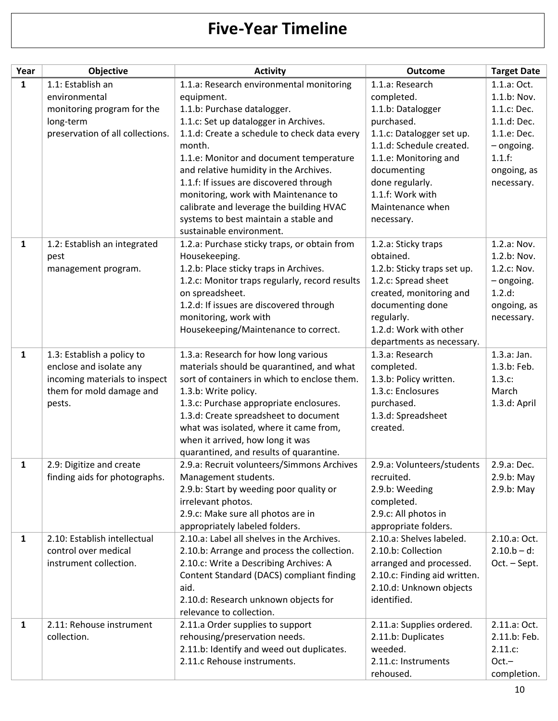# **Five-Year Timeline**

| Year         | Objective                        | <b>Activity</b>                                                            | <b>Outcome</b>                 | <b>Target Date</b> |
|--------------|----------------------------------|----------------------------------------------------------------------------|--------------------------------|--------------------|
| $\mathbf{1}$ | 1.1: Establish an                | 1.1.a: Research environmental monitoring                                   | 1.1.a: Research                | 1.1.a: Oct.        |
|              | environmental                    | equipment.                                                                 | completed.                     | 1.1.b: Nov.        |
|              | monitoring program for the       | 1.1.b: Purchase datalogger.                                                | 1.1.b: Datalogger              | 1.1.c: Dec.        |
|              | long-term                        | 1.1.c: Set up datalogger in Archives.                                      | purchased.                     | 1.1.d: Dec.        |
|              | preservation of all collections. | 1.1.d: Create a schedule to check data every                               | 1.1.c: Datalogger set up.      | 1.1.e: Dec.        |
|              |                                  | month.                                                                     | 1.1.d: Schedule created.       | $-$ ongoing.       |
|              |                                  | 1.1.e: Monitor and document temperature                                    | 1.1.e: Monitoring and          | 1.1.f:             |
|              |                                  | and relative humidity in the Archives.                                     | documenting                    | ongoing, as        |
|              |                                  | 1.1.f: If issues are discovered through                                    | done regularly.                | necessary.         |
|              |                                  | monitoring, work with Maintenance to                                       | 1.1.f: Work with               |                    |
|              |                                  | calibrate and leverage the building HVAC                                   | Maintenance when               |                    |
|              |                                  | systems to best maintain a stable and                                      | necessary.                     |                    |
|              |                                  | sustainable environment.                                                   |                                |                    |
| $\mathbf{1}$ | 1.2: Establish an integrated     | 1.2.a: Purchase sticky traps, or obtain from                               | 1.2.a: Sticky traps            | 1.2.a: Nov.        |
|              | pest                             | Housekeeping.                                                              | obtained.                      | 1.2.b: Nov.        |
|              | management program.              | 1.2.b: Place sticky traps in Archives.                                     | 1.2.b: Sticky traps set up.    | 1.2.c: Nov.        |
|              |                                  | 1.2.c: Monitor traps regularly, record results                             | 1.2.c: Spread sheet            | $-$ ongoing.       |
|              |                                  | on spreadsheet.                                                            | created, monitoring and        | 1.2.d:             |
|              |                                  | 1.2.d: If issues are discovered through                                    | documenting done               | ongoing, as        |
|              |                                  | monitoring, work with                                                      | regularly.                     | necessary.         |
|              |                                  | Housekeeping/Maintenance to correct.                                       | 1.2.d: Work with other         |                    |
|              |                                  |                                                                            | departments as necessary.      |                    |
| $\mathbf{1}$ | 1.3: Establish a policy to       | 1.3.a: Research for how long various                                       | 1.3.a: Research                | 1.3.a: Jan.        |
|              | enclose and isolate any          | materials should be quarantined, and what                                  | completed.                     | 1.3.b: Feb.        |
|              | incoming materials to inspect    | sort of containers in which to enclose them.                               | 1.3.b: Policy written.         | 1.3.c:             |
|              | them for mold damage and         | 1.3.b: Write policy.                                                       | 1.3.c: Enclosures              | March              |
|              | pests.                           | 1.3.c: Purchase appropriate enclosures.                                    | purchased.                     | 1.3.d: April       |
|              |                                  | 1.3.d: Create spreadsheet to document                                      | 1.3.d: Spreadsheet<br>created. |                    |
|              |                                  | what was isolated, where it came from,<br>when it arrived, how long it was |                                |                    |
|              |                                  | quarantined, and results of quarantine.                                    |                                |                    |
| 1            | 2.9: Digitize and create         | 2.9.a: Recruit volunteers/Simmons Archives                                 | 2.9.a: Volunteers/students     | 2.9.a: Dec.        |
|              | finding aids for photographs.    | Management students.                                                       | recruited.                     | 2.9.b: May         |
|              |                                  | 2.9.b: Start by weeding poor quality or                                    | 2.9.b: Weeding                 | 2.9.b: May         |
|              |                                  | irrelevant photos.                                                         | completed.                     |                    |
|              |                                  | 2.9.c: Make sure all photos are in                                         | 2.9.c: All photos in           |                    |
|              |                                  | appropriately labeled folders.                                             | appropriate folders.           |                    |
| $\mathbf{1}$ | 2.10: Establish intellectual     | 2.10.a: Label all shelves in the Archives.                                 | 2.10.a: Shelves labeled.       | 2.10.a: Oct.       |
|              | control over medical             | 2.10.b: Arrange and process the collection.                                | 2.10.b: Collection             | $2.10.b - d$ :     |
|              | instrument collection.           | 2.10.c: Write a Describing Archives: A                                     | arranged and processed.        | Oct. - Sept.       |
|              |                                  | Content Standard (DACS) compliant finding                                  | 2.10.c: Finding aid written.   |                    |
|              |                                  | aid.                                                                       | 2.10.d: Unknown objects        |                    |
|              |                                  | 2.10.d: Research unknown objects for                                       | identified.                    |                    |
|              |                                  | relevance to collection.                                                   |                                |                    |
| $\mathbf{1}$ | 2.11: Rehouse instrument         | 2.11.a Order supplies to support                                           | 2.11.a: Supplies ordered.      | 2.11.a: Oct.       |
|              | collection.                      | rehousing/preservation needs.                                              | 2.11.b: Duplicates             | 2.11.b: Feb.       |
|              |                                  | 2.11.b: Identify and weed out duplicates.                                  | weeded.                        | 2.11.c.            |
|              |                                  | 2.11.c Rehouse instruments.                                                | 2.11.c: Instruments            | $Oct. -$           |
|              |                                  |                                                                            | rehoused.                      | completion.        |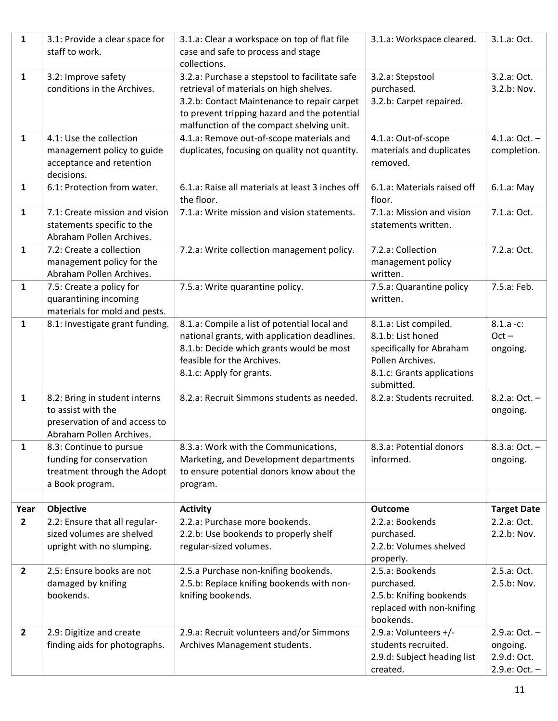| $\mathbf{1}$           | 3.1: Provide a clear space for                             | 3.1.a: Clear a workspace on top of flat file      | 3.1.a: Workspace cleared.            | 3.1.a: Oct.                       |
|------------------------|------------------------------------------------------------|---------------------------------------------------|--------------------------------------|-----------------------------------|
|                        | staff to work.                                             | case and safe to process and stage                |                                      |                                   |
|                        |                                                            | collections.                                      |                                      |                                   |
| 1                      | 3.2: Improve safety                                        | 3.2.a: Purchase a stepstool to facilitate safe    | 3.2.a: Stepstool                     | 3.2.a: Oct.                       |
|                        | conditions in the Archives.                                | retrieval of materials on high shelves.           | purchased.                           | 3.2.b: Nov.                       |
|                        |                                                            | 3.2.b: Contact Maintenance to repair carpet       | 3.2.b: Carpet repaired.              |                                   |
|                        |                                                            | to prevent tripping hazard and the potential      |                                      |                                   |
|                        |                                                            | malfunction of the compact shelving unit.         |                                      |                                   |
| $\mathbf{1}$           | 4.1: Use the collection                                    | 4.1.a: Remove out-of-scope materials and          | 4.1.a: Out-of-scope                  | 4.1.a: Oct. $-$                   |
|                        | management policy to guide                                 | duplicates, focusing on quality not quantity.     | materials and duplicates             | completion.                       |
|                        | acceptance and retention                                   |                                                   | removed.                             |                                   |
|                        | decisions.                                                 |                                                   |                                      |                                   |
| 1                      | 6.1: Protection from water.                                | 6.1.a: Raise all materials at least 3 inches off  | 6.1.a: Materials raised off          | 6.1.a: May                        |
|                        |                                                            | the floor.                                        | floor.                               |                                   |
| $\mathbf{1}$           | 7.1: Create mission and vision                             | 7.1.a: Write mission and vision statements.       | 7.1.a: Mission and vision            | 7.1.a: Oct.                       |
|                        | statements specific to the                                 |                                                   | statements written.                  |                                   |
|                        | Abraham Pollen Archives.                                   |                                                   |                                      |                                   |
| $\mathbf{1}$           | 7.2: Create a collection                                   | 7.2.a: Write collection management policy.        | 7.2.a: Collection                    | 7.2.a: Oct.                       |
|                        | management policy for the                                  |                                                   | management policy                    |                                   |
|                        | Abraham Pollen Archives.                                   |                                                   | written.                             | 7.5.a: Feb.                       |
| $\mathbf{1}$           | 7.5: Create a policy for                                   | 7.5.a: Write quarantine policy.                   | 7.5.a: Quarantine policy<br>written. |                                   |
|                        | quarantining incoming<br>materials for mold and pests.     |                                                   |                                      |                                   |
| 1                      | 8.1: Investigate grant funding.                            | 8.1.a: Compile a list of potential local and      | 8.1.a: List compiled.                | $8.1.a - c$ :                     |
|                        |                                                            | national grants, with application deadlines.      | 8.1.b: List honed                    | $Oct -$                           |
|                        |                                                            | 8.1.b: Decide which grants would be most          | specifically for Abraham             | ongoing.                          |
|                        |                                                            | feasible for the Archives.                        | Pollen Archives.                     |                                   |
|                        |                                                            | 8.1.c: Apply for grants.                          | 8.1.c: Grants applications           |                                   |
|                        |                                                            |                                                   | submitted.                           |                                   |
| $\mathbf{1}$           | 8.2: Bring in student interns                              | 8.2.a: Recruit Simmons students as needed.        | 8.2.a: Students recruited.           | $8.2.a: Oct. -$                   |
|                        | to assist with the                                         |                                                   |                                      | ongoing.                          |
|                        | preservation of and access to                              |                                                   |                                      |                                   |
|                        | Abraham Pollen Archives.                                   |                                                   |                                      |                                   |
| $\mathbf{1}$           | 8.3: Continue to pursue                                    | 8.3.a: Work with the Communications,              | 8.3.a: Potential donors              | $8.3.a: Oct. -$                   |
|                        | funding for conservation                                   | Marketing, and Development departments            | informed.                            | ongoing.                          |
|                        | treatment through the Adopt                                | to ensure potential donors know about the         |                                      |                                   |
|                        | a Book program.                                            | program.                                          |                                      |                                   |
|                        |                                                            |                                                   |                                      |                                   |
| Year<br>$\overline{2}$ | Objective                                                  | <b>Activity</b><br>2.2.a: Purchase more bookends. | <b>Outcome</b><br>2.2.a: Bookends    | <b>Target Date</b><br>2.2.a: Oct. |
|                        | 2.2: Ensure that all regular-<br>sized volumes are shelved | 2.2.b: Use bookends to properly shelf             | purchased.                           | 2.2.b: Nov.                       |
|                        | upright with no slumping.                                  | regular-sized volumes.                            | 2.2.b: Volumes shelved               |                                   |
|                        |                                                            |                                                   | properly.                            |                                   |
| $\overline{2}$         | 2.5: Ensure books are not                                  | 2.5.a Purchase non-knifing bookends.              | 2.5.a: Bookends                      | 2.5.a: Oct.                       |
|                        | damaged by knifing                                         | 2.5.b: Replace knifing bookends with non-         | purchased.                           | 2.5.b: Nov.                       |
|                        | bookends.                                                  | knifing bookends.                                 | 2.5.b: Knifing bookends              |                                   |
|                        |                                                            |                                                   | replaced with non-knifing            |                                   |
|                        |                                                            |                                                   | bookends.                            |                                   |
| $\overline{2}$         | 2.9: Digitize and create                                   | 2.9.a: Recruit volunteers and/or Simmons          | 2.9.a: Volunteers +/-                | 2.9.a: Oct. –                     |
|                        | finding aids for photographs.                              | Archives Management students.                     | students recruited.                  | ongoing.                          |
|                        |                                                            |                                                   | 2.9.d: Subject heading list          | 2.9.d: Oct.                       |
|                        |                                                            |                                                   | created.                             | 2.9.e: Oct. -                     |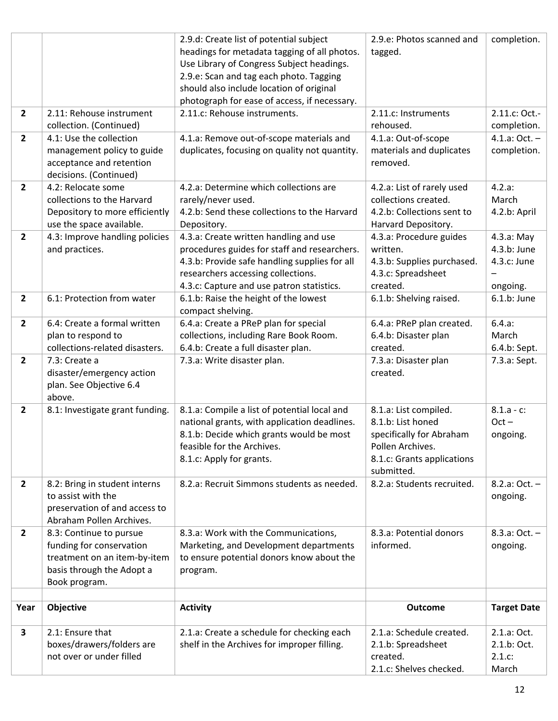|                         |                                 | 2.9.d: Create list of potential subject       | 2.9.e: Photos scanned and  | completion.        |
|-------------------------|---------------------------------|-----------------------------------------------|----------------------------|--------------------|
|                         |                                 | headings for metadata tagging of all photos.  | tagged.                    |                    |
|                         |                                 | Use Library of Congress Subject headings.     |                            |                    |
|                         |                                 | 2.9.e: Scan and tag each photo. Tagging       |                            |                    |
|                         |                                 | should also include location of original      |                            |                    |
|                         |                                 | photograph for ease of access, if necessary.  |                            |                    |
| $\overline{2}$          | 2.11: Rehouse instrument        | 2.11.c: Rehouse instruments.                  | 2.11.c: Instruments        | 2.11.c: Oct.-      |
|                         | collection. (Continued)         |                                               | rehoused.                  | completion.        |
| $\overline{2}$          | 4.1: Use the collection         | 4.1.a: Remove out-of-scope materials and      | 4.1.a: Out-of-scope        | $4.1.a: Oct. -$    |
|                         | management policy to guide      | duplicates, focusing on quality not quantity. | materials and duplicates   | completion.        |
|                         | acceptance and retention        |                                               | removed.                   |                    |
|                         | decisions. (Continued)          |                                               |                            |                    |
| $\overline{2}$          | 4.2: Relocate some              | 4.2.a: Determine which collections are        | 4.2.a: List of rarely used | 4.2.a:             |
|                         | collections to the Harvard      | rarely/never used.                            | collections created.       | March              |
|                         | Depository to more efficiently  | 4.2.b: Send these collections to the Harvard  | 4.2.b: Collections sent to | 4.2.b: April       |
|                         | use the space available.        | Depository.                                   | Harvard Depository.        |                    |
| $\overline{2}$          | 4.3: Improve handling policies  | 4.3.a: Create written handling and use        | 4.3.a: Procedure guides    | 4.3.a: May         |
|                         | and practices.                  | procedures guides for staff and researchers.  | written.                   | 4.3.b: June        |
|                         |                                 | 4.3.b: Provide safe handling supplies for all | 4.3.b: Supplies purchased. | 4.3.c: June        |
|                         |                                 |                                               |                            |                    |
|                         |                                 | researchers accessing collections.            | 4.3.c: Spreadsheet         |                    |
|                         |                                 | 4.3.c: Capture and use patron statistics.     | created.                   | ongoing.           |
| $\overline{2}$          | 6.1: Protection from water      | 6.1.b: Raise the height of the lowest         | 6.1.b: Shelving raised.    | $6.1.b:$ June      |
|                         |                                 | compact shelving.                             |                            |                    |
| $\overline{2}$          | 6.4: Create a formal written    | 6.4.a: Create a PReP plan for special         | 6.4.a: PReP plan created.  | 6.4.a:             |
|                         | plan to respond to              | collections, including Rare Book Room.        | 6.4.b: Disaster plan       | March              |
|                         | collections-related disasters.  | 6.4.b: Create a full disaster plan.           | created.                   | 6.4.b: Sept.       |
| $\overline{2}$          | 7.3: Create a                   | 7.3.a: Write disaster plan.                   | 7.3.a: Disaster plan       | 7.3.a: Sept.       |
|                         | disaster/emergency action       |                                               | created.                   |                    |
|                         | plan. See Objective 6.4         |                                               |                            |                    |
|                         | above.                          |                                               |                            |                    |
| $\overline{2}$          | 8.1: Investigate grant funding. | 8.1.a: Compile a list of potential local and  | 8.1.a: List compiled.      | $8.1.a - c$ :      |
|                         |                                 | national grants, with application deadlines.  | 8.1.b: List honed          | $Oct -$            |
|                         |                                 | 8.1.b: Decide which grants would be most      | specifically for Abraham   | ongoing.           |
|                         |                                 | feasible for the Archives.                    | Pollen Archives.           |                    |
|                         |                                 | 8.1.c: Apply for grants.                      | 8.1.c: Grants applications |                    |
|                         |                                 |                                               | submitted.                 |                    |
| $\overline{2}$          | 8.2: Bring in student interns   | 8.2.a: Recruit Simmons students as needed.    | 8.2.a: Students recruited. | $8.2.a: Oct. -$    |
|                         | to assist with the              |                                               |                            | ongoing.           |
|                         | preservation of and access to   |                                               |                            |                    |
|                         | Abraham Pollen Archives.        |                                               |                            |                    |
| $\overline{2}$          | 8.3: Continue to pursue         | 8.3.a: Work with the Communications,          | 8.3.a: Potential donors    | 8.3.a: Oct. –      |
|                         | funding for conservation        | Marketing, and Development departments        | informed.                  | ongoing.           |
|                         | treatment on an item-by-item    | to ensure potential donors know about the     |                            |                    |
|                         | basis through the Adopt a       | program.                                      |                            |                    |
|                         | Book program.                   |                                               |                            |                    |
|                         |                                 |                                               |                            |                    |
| Year                    |                                 |                                               |                            |                    |
|                         | Objective                       | <b>Activity</b>                               | <b>Outcome</b>             | <b>Target Date</b> |
|                         |                                 |                                               |                            |                    |
| $\overline{\mathbf{3}}$ | 2.1: Ensure that                | 2.1.a: Create a schedule for checking each    | 2.1.a: Schedule created.   | 2.1.a: Oct.        |
|                         | boxes/drawers/folders are       | shelf in the Archives for improper filling.   | 2.1.b: Spreadsheet         | 2.1.b: Oct.        |
|                         | not over or under filled        |                                               | created.                   | 2.1.c.             |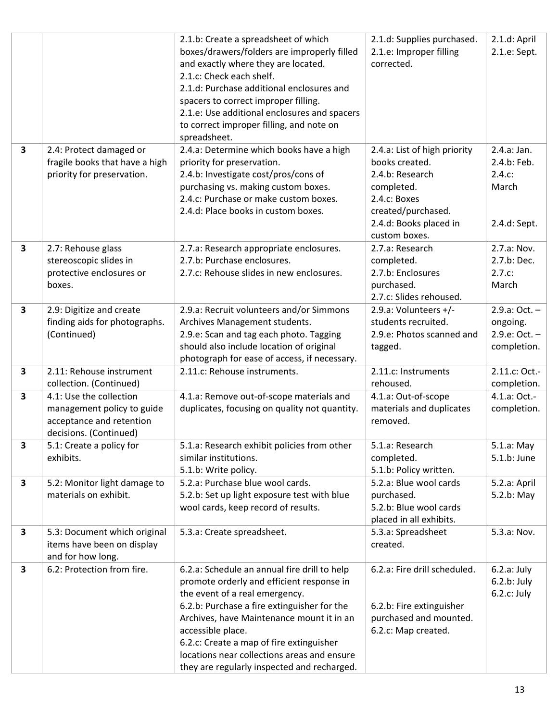|                         |                                                                                                             | 2.1.b: Create a spreadsheet of which<br>boxes/drawers/folders are improperly filled<br>and exactly where they are located.<br>2.1.c: Check each shelf.<br>2.1.d: Purchase additional enclosures and<br>spacers to correct improper filling.<br>2.1.e: Use additional enclosures and spacers<br>to correct improper filling, and note on<br>spreadsheet.                                | 2.1.d: Supplies purchased.<br>2.1.e: Improper filling<br>corrected.                                                                                              | 2.1.d: April<br>2.1.e: Sept.                                  |
|-------------------------|-------------------------------------------------------------------------------------------------------------|----------------------------------------------------------------------------------------------------------------------------------------------------------------------------------------------------------------------------------------------------------------------------------------------------------------------------------------------------------------------------------------|------------------------------------------------------------------------------------------------------------------------------------------------------------------|---------------------------------------------------------------|
| 3                       | 2.4: Protect damaged or<br>fragile books that have a high<br>priority for preservation.                     | 2.4.a: Determine which books have a high<br>priority for preservation.<br>2.4.b: Investigate cost/pros/cons of<br>purchasing vs. making custom boxes.<br>2.4.c: Purchase or make custom boxes.<br>2.4.d: Place books in custom boxes.                                                                                                                                                  | 2.4.a: List of high priority<br>books created.<br>2.4.b: Research<br>completed.<br>2.4.c: Boxes<br>created/purchased.<br>2.4.d: Books placed in<br>custom boxes. | 2.4.a: Jan.<br>2.4.b: Feb.<br>2.4.c:<br>March<br>2.4.d: Sept. |
| $\overline{\mathbf{3}}$ | 2.7: Rehouse glass<br>stereoscopic slides in<br>protective enclosures or<br>boxes.                          | 2.7.a: Research appropriate enclosures.<br>2.7.b: Purchase enclosures.<br>2.7.c: Rehouse slides in new enclosures.                                                                                                                                                                                                                                                                     | 2.7.a: Research<br>completed.<br>2.7.b: Enclosures<br>purchased.<br>2.7.c: Slides rehoused.                                                                      | 2.7.a: Nov.<br>2.7.b: Dec.<br>2.7.c:<br>March                 |
| $\overline{\mathbf{3}}$ | 2.9: Digitize and create<br>finding aids for photographs.<br>(Continued)                                    | 2.9.a: Recruit volunteers and/or Simmons<br>Archives Management students.<br>2.9.e: Scan and tag each photo. Tagging<br>should also include location of original<br>photograph for ease of access, if necessary.                                                                                                                                                                       | 2.9.a: Volunteers +/-<br>students recruited.<br>2.9.e: Photos scanned and<br>tagged.                                                                             | 2.9.a: Oct. –<br>ongoing.<br>2.9.e: Oct. $-$<br>completion.   |
| $\overline{\mathbf{3}}$ | 2.11: Rehouse instrument<br>collection. (Continued)                                                         | 2.11.c: Rehouse instruments.                                                                                                                                                                                                                                                                                                                                                           | 2.11.c: Instruments<br>rehoused.                                                                                                                                 | 2.11.c: Oct.-<br>completion.                                  |
| 3                       | 4.1: Use the collection<br>management policy to guide<br>acceptance and retention<br>decisions. (Continued) | 4.1.a: Remove out-of-scope materials and<br>duplicates, focusing on quality not quantity.                                                                                                                                                                                                                                                                                              | 4.1.a: Out-of-scope<br>materials and duplicates<br>removed.                                                                                                      | 4.1.a: Oct.-<br>completion.                                   |
| 3                       | 5.1: Create a policy for<br>exhibits.                                                                       | 5.1.a: Research exhibit policies from other<br>similar institutions.<br>5.1.b: Write policy.                                                                                                                                                                                                                                                                                           | 5.1.a: Research<br>completed.<br>5.1.b: Policy written.                                                                                                          | 5.1.a: May<br>5.1.b: June                                     |
| 3                       | 5.2: Monitor light damage to<br>materials on exhibit.                                                       | 5.2.a: Purchase blue wool cards.<br>5.2.b: Set up light exposure test with blue<br>wool cards, keep record of results.                                                                                                                                                                                                                                                                 | 5.2.a: Blue wool cards<br>purchased.<br>5.2.b: Blue wool cards<br>placed in all exhibits.                                                                        | 5.2.a: April<br>5.2.b: May                                    |
| 3                       | 5.3: Document which original<br>items have been on display<br>and for how long.                             | 5.3.a: Create spreadsheet.                                                                                                                                                                                                                                                                                                                                                             | 5.3.a: Spreadsheet<br>created.                                                                                                                                   | 5.3.a: Nov.                                                   |
| 3                       | 6.2: Protection from fire.                                                                                  | 6.2.a: Schedule an annual fire drill to help<br>promote orderly and efficient response in<br>the event of a real emergency.<br>6.2.b: Purchase a fire extinguisher for the<br>Archives, have Maintenance mount it in an<br>accessible place.<br>6.2.c: Create a map of fire extinguisher<br>locations near collections areas and ensure<br>they are regularly inspected and recharged. | 6.2.a: Fire drill scheduled.<br>6.2.b: Fire extinguisher<br>purchased and mounted.<br>6.2.c: Map created.                                                        | 6.2.a: July<br>6.2.b: July<br>$6.2.c:$ July                   |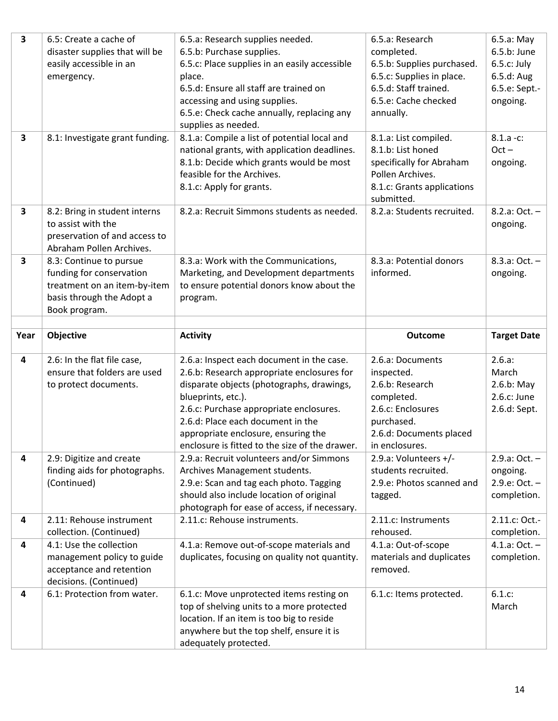| $\overline{\mathbf{3}}$ | 6.5: Create a cache of                                    | 6.5.a: Research supplies needed.                                                      | 6.5.a: Research                          | 6.5.a: May                   |
|-------------------------|-----------------------------------------------------------|---------------------------------------------------------------------------------------|------------------------------------------|------------------------------|
|                         | disaster supplies that will be<br>easily accessible in an | 6.5.b: Purchase supplies.<br>6.5.c: Place supplies in an easily accessible            | completed.<br>6.5.b: Supplies purchased. | 6.5.b: June<br>$6.5.c:$ July |
|                         | emergency.                                                | place.                                                                                | 6.5.c: Supplies in place.                | 6.5.d: Aug                   |
|                         |                                                           | 6.5.d: Ensure all staff are trained on                                                | 6.5.d: Staff trained.                    | 6.5.e: Sept.-                |
|                         |                                                           | accessing and using supplies.                                                         | 6.5.e: Cache checked                     | ongoing.                     |
|                         |                                                           | 6.5.e: Check cache annually, replacing any                                            | annually.                                |                              |
|                         |                                                           | supplies as needed.                                                                   |                                          |                              |
| $\overline{\mathbf{3}}$ | 8.1: Investigate grant funding.                           | 8.1.a: Compile a list of potential local and                                          | 8.1.a: List compiled.                    | $8.1.a - c$ :                |
|                         |                                                           | national grants, with application deadlines.                                          | 8.1.b: List honed                        | $Oct -$                      |
|                         |                                                           | 8.1.b: Decide which grants would be most                                              | specifically for Abraham                 | ongoing.                     |
|                         |                                                           | feasible for the Archives.                                                            | Pollen Archives.                         |                              |
|                         |                                                           | 8.1.c: Apply for grants.                                                              | 8.1.c: Grants applications<br>submitted. |                              |
| $\overline{\mathbf{3}}$ | 8.2: Bring in student interns                             | 8.2.a: Recruit Simmons students as needed.                                            | 8.2.a: Students recruited.               | 8.2.a: Oct. –                |
|                         | to assist with the                                        |                                                                                       |                                          | ongoing.                     |
|                         | preservation of and access to                             |                                                                                       |                                          |                              |
|                         | Abraham Pollen Archives.                                  |                                                                                       |                                          |                              |
| $\overline{\mathbf{3}}$ | 8.3: Continue to pursue                                   | 8.3.a: Work with the Communications,                                                  | 8.3.a: Potential donors                  | $8.3.a: Oct. -$              |
|                         | funding for conservation                                  | Marketing, and Development departments                                                | informed.                                | ongoing.                     |
|                         | treatment on an item-by-item                              | to ensure potential donors know about the                                             |                                          |                              |
|                         | basis through the Adopt a<br>Book program.                | program.                                                                              |                                          |                              |
|                         |                                                           |                                                                                       |                                          |                              |
| Year                    | Objective                                                 | <b>Activity</b>                                                                       | <b>Outcome</b>                           | <b>Target Date</b>           |
|                         |                                                           |                                                                                       |                                          |                              |
|                         |                                                           |                                                                                       |                                          |                              |
| 4                       | 2.6: In the flat file case,                               | 2.6.a: Inspect each document in the case.                                             | 2.6.a: Documents                         | 2.6.a:                       |
|                         | ensure that folders are used                              | 2.6.b: Research appropriate enclosures for                                            | inspected.                               | March                        |
|                         | to protect documents.                                     | disparate objects (photographs, drawings,<br>blueprints, etc.).                       | 2.6.b: Research<br>completed.            | $2.6.b:$ May<br>2.6.c: June  |
|                         |                                                           | 2.6.c: Purchase appropriate enclosures.                                               | 2.6.c: Enclosures                        | 2.6.d: Sept.                 |
|                         |                                                           | 2.6.d: Place each document in the                                                     | purchased.                               |                              |
|                         |                                                           | appropriate enclosure, ensuring the                                                   | 2.6.d: Documents placed                  |                              |
|                         |                                                           | enclosure is fitted to the size of the drawer.                                        | in enclosures.                           |                              |
| 4                       | 2.9: Digitize and create                                  | 2.9.a: Recruit volunteers and/or Simmons                                              | 2.9.a: Volunteers +/-                    | 2.9.a: Oct. –                |
|                         | finding aids for photographs.                             | Archives Management students.                                                         | students recruited.                      | ongoing.                     |
|                         | (Continued)                                               | 2.9.e: Scan and tag each photo. Tagging                                               | 2.9.e: Photos scanned and                | $2.9.e: Oct. -$              |
|                         |                                                           | should also include location of original                                              | tagged.                                  | completion.                  |
| 4                       | 2.11: Rehouse instrument                                  | photograph for ease of access, if necessary.<br>2.11.c: Rehouse instruments.          | 2.11.c: Instruments                      | 2.11.c: Oct.-                |
|                         | collection. (Continued)                                   |                                                                                       | rehoused.                                | completion.                  |
| 4                       | 4.1: Use the collection                                   | 4.1.a: Remove out-of-scope materials and                                              | 4.1.a: Out-of-scope                      | 4.1.a: Oct. –                |
|                         | management policy to guide                                | duplicates, focusing on quality not quantity.                                         | materials and duplicates                 | completion.                  |
|                         | acceptance and retention                                  |                                                                                       | removed.                                 |                              |
|                         | decisions. (Continued)                                    |                                                                                       |                                          |                              |
| 4                       | 6.1: Protection from water.                               | 6.1.c: Move unprotected items resting on                                              | 6.1.c: Items protected.                  | 6.1.c:                       |
|                         |                                                           | top of shelving units to a more protected                                             |                                          | March                        |
|                         |                                                           | location. If an item is too big to reside<br>anywhere but the top shelf, ensure it is |                                          |                              |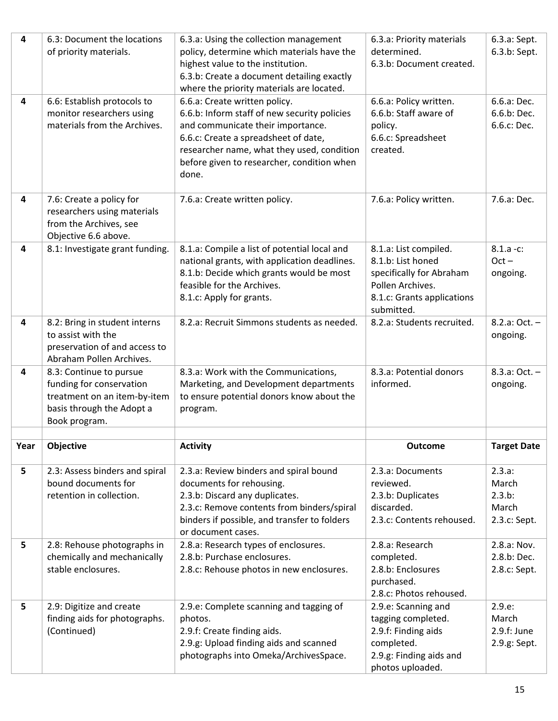| 4    | 6.3: Document the locations                               | 6.3.a: Using the collection management       | 6.3.a: Priority materials                   | 6.3.a: Sept.       |
|------|-----------------------------------------------------------|----------------------------------------------|---------------------------------------------|--------------------|
|      | of priority materials.                                    | policy, determine which materials have the   | determined.                                 | 6.3.b: Sept.       |
|      |                                                           | highest value to the institution.            | 6.3.b: Document created.                    |                    |
|      |                                                           | 6.3.b: Create a document detailing exactly   |                                             |                    |
|      |                                                           | where the priority materials are located.    |                                             |                    |
| 4    | 6.6: Establish protocols to                               | 6.6.a: Create written policy.                | 6.6.a: Policy written.                      | 6.6.a: Dec.        |
|      | monitor researchers using                                 | 6.6.b: Inform staff of new security policies | 6.6.b: Staff aware of                       | 6.6.b: Dec.        |
|      | materials from the Archives.                              | and communicate their importance.            | policy.                                     | 6.6.c: Dec.        |
|      |                                                           | 6.6.c: Create a spreadsheet of date,         | 6.6.c: Spreadsheet                          |                    |
|      |                                                           | researcher name, what they used, condition   | created.                                    |                    |
|      |                                                           | before given to researcher, condition when   |                                             |                    |
|      |                                                           | done.                                        |                                             |                    |
|      |                                                           |                                              |                                             |                    |
| 4    | 7.6: Create a policy for                                  | 7.6.a: Create written policy.                | 7.6.a: Policy written.                      | 7.6.a: Dec.        |
|      | researchers using materials                               |                                              |                                             |                    |
|      | from the Archives, see                                    |                                              |                                             |                    |
|      | Objective 6.6 above.                                      |                                              |                                             |                    |
| 4    | 8.1: Investigate grant funding.                           | 8.1.a: Compile a list of potential local and | 8.1.a: List compiled.                       | $8.1.a - c$ :      |
|      |                                                           | national grants, with application deadlines. | 8.1.b: List honed                           | $Oct -$            |
|      |                                                           | 8.1.b: Decide which grants would be most     | specifically for Abraham                    | ongoing.           |
|      |                                                           | feasible for the Archives.                   | Pollen Archives.                            |                    |
|      |                                                           | 8.1.c: Apply for grants.                     | 8.1.c: Grants applications                  |                    |
|      |                                                           |                                              | submitted.                                  |                    |
| 4    | 8.2: Bring in student interns                             | 8.2.a: Recruit Simmons students as needed.   | 8.2.a: Students recruited.                  | 8.2.a: Oct. –      |
|      | to assist with the                                        |                                              |                                             | ongoing.           |
|      | preservation of and access to<br>Abraham Pollen Archives. |                                              |                                             |                    |
| 4    |                                                           | 8.3.a: Work with the Communications,         | 8.3.a: Potential donors                     | 8.3.a: Oct. –      |
|      | 8.3: Continue to pursue<br>funding for conservation       | Marketing, and Development departments       | informed.                                   | ongoing.           |
|      | treatment on an item-by-item                              | to ensure potential donors know about the    |                                             |                    |
|      | basis through the Adopt a                                 | program.                                     |                                             |                    |
|      | Book program.                                             |                                              |                                             |                    |
|      |                                                           |                                              |                                             |                    |
| Year | Objective                                                 | <b>Activity</b>                              | <b>Outcome</b>                              | <b>Target Date</b> |
|      |                                                           |                                              |                                             |                    |
| 5    | 2.3: Assess binders and spiral                            | 2.3.a: Review binders and spiral bound       | 2.3.a: Documents                            | 2.3.a:             |
|      | bound documents for                                       | documents for rehousing.                     | reviewed.                                   | March              |
|      | retention in collection.                                  | 2.3.b: Discard any duplicates.               | 2.3.b: Duplicates                           | 2.3.b:             |
|      |                                                           | 2.3.c: Remove contents from binders/spiral   | discarded.                                  | March              |
|      |                                                           | binders if possible, and transfer to folders | 2.3.c: Contents rehoused.                   | 2.3.c: Sept.       |
|      |                                                           | or document cases.                           |                                             |                    |
| 5    | 2.8: Rehouse photographs in                               | 2.8.a: Research types of enclosures.         | 2.8.a: Research                             | 2.8.a: Nov.        |
|      | chemically and mechanically                               | 2.8.b: Purchase enclosures.                  | completed.                                  | 2.8.b: Dec.        |
|      | stable enclosures.                                        | 2.8.c: Rehouse photos in new enclosures.     | 2.8.b: Enclosures                           | 2.8.c: Sept.       |
|      |                                                           |                                              | purchased.                                  |                    |
|      |                                                           |                                              | 2.8.c: Photos rehoused.                     |                    |
| 5    | 2.9: Digitize and create                                  | 2.9.e: Complete scanning and tagging of      | 2.9.e: Scanning and                         | 2.9.e.             |
|      | finding aids for photographs.                             | photos.                                      | tagging completed.                          | March              |
|      | (Continued)                                               | 2.9.f: Create finding aids.                  | 2.9.f: Finding aids                         | 2.9.f: June        |
|      |                                                           | 2.9.g: Upload finding aids and scanned       | completed.                                  | 2.9.g: Sept.       |
|      |                                                           |                                              |                                             |                    |
|      |                                                           | photographs into Omeka/ArchivesSpace.        | 2.9.g: Finding aids and<br>photos uploaded. |                    |